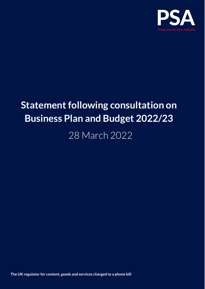

# **Statement following consultation on Business Plan and Budget 2022/23**

28 March 2022

**The UK regulator for content, goods and services charged to a phone bill**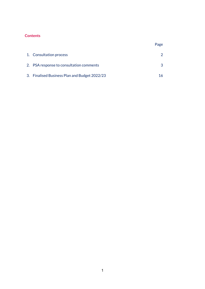## **Contents**

| 1. Consultation process                       |  |
|-----------------------------------------------|--|
|                                               |  |
| 2. PSA response to consultation comments      |  |
|                                               |  |
| 3. Finalised Business Plan and Budget 2022/23 |  |

Page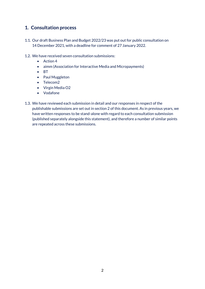# **1. Consultation process**

- 1.1. Our draft Business Plan and Budget 2022/23 was put out for public consultation on 14 December 2021, with a deadline for comment of 27 January 2022.
- 1.2. We have received seven consultation submissions:
	- Action 4
	- aimm (Association for Interactive Media and Micropayments)
	- BT
	- Paul Muggleton
	- Telecom2
	- Virgin Media O2
	- Vodafone
- 1.3. We have reviewed each submission in detail and our responses in respect of the publishable submissions are set out in section 2 of this document. As in previous years, we have written responses to be stand-alone with regard to each consultation submission (published separately alongside this statement), and therefore a number of similar points are repeated across these submissions.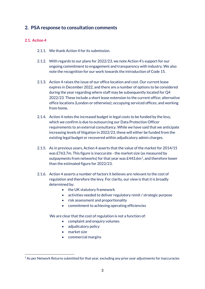# **2. PSA response to consultation comments**

## **2.1. Action 4**

- 2.1.1. We thank Action 4 for its submission.
- 2.1.2. With regards to our plans for 2022/23, we note Action 4's support for our ongoing commitment to engagement and transparency with industry. We also note the recognition for our work towards the introduction of Code 15.
- 2.1.3. Action 4 raises the issue of our office location and cost. Our current lease expires in December 2022, and there are a number of options to be considered during the year regarding where staff may be subsequently located for Q4 2022/23. These include a short lease extension to the current office; alternative office locations (London or otherwise); occupying serviced offices; and working from home.
- 2.1.4. Action 4 notes the increased budget in legal costs to be funded by the levy, which we confirm is due to outsourcing our Data Protection Officer requirements to an external consultancy. While we have said that we anticipate increasing levels of litigation in 2022/23, these will either be funded from the existing legal budget or recovered within adjudicatory admin charges.
- 2.1.5. As in previous years, Action 4 asserts that the value of the market for 2014/15 was £763.7m. This figure is inaccurate - the market size (as measured by outpayments from networks) for that year was  $E443.6m<sup>1</sup>$  $E443.6m<sup>1</sup>$  $E443.6m<sup>1</sup>$ , and therefore lower than the estimated figure for 2022/23.
- 2.1.6. Action 4 asserts a number of factors it believes are relevant to the cost of regulation and therefore the levy. For clarity, our view is that it is broadly determined by:
	- the UK statutory framework
	- activities needed to deliver regulatory remit / strategic purpose
	- risk assessment and proportionality
	- commitment to achieving operating efficiencies

- complaint and enquiry volumes
- adjudicatory policy
- market size
- commercial margins

<span id="page-3-0"></span> $1$  As per Network Returns submitted for that year, excluding any prior year adjustments for inaccuracies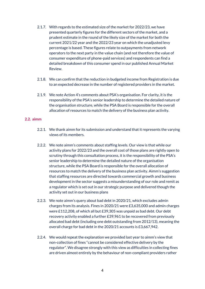- 2.1.7. With regards to the estimated size of the market for 2022/23, we have presented quarterly figures for the different sectors of the market, and a prudent estimate in the round of the likely size of the market for both the current 2021/22 year and the 2022/23 year on which the unadjusted levy percentage is based. These figures relate to outpayments from network operators to the next party in the value chain (and not therefore the value of consumer expenditure of phone-paid services) and respondents can find a detailed breakdown of this consumer spend in our published Annual Market Review.
- 2.1.8. We can confirm that the reduction in budgeted income from Registration is due to an expected decrease in the number of registered providers in the market.
- 2.1.9. We note Action 4's comments about PSA's organisation. For clarity, it is the responsibility of the PSA's senior leadership to determine the detailed nature of the organisation structure, while the PSA Board is responsible for the overall allocation of resources to match the delivery of the business plan activity.

### **2.2. aimm**

- 2.2.1. We thank aimm for its submission and understand that it represents the varying views of its members.
- 2.2.2. We note aimm's comments about staffing levels. Our view is that while our activity plans for 2022/23 and the overall cost of those plans are rightly open to scrutiny through this consultation process, it is the responsibility of the PSA's senior leadership to determine the detailed nature of the organisation structure, while the PSA Board is responsible for the overall allocation of resources to match the delivery of the business plan activity. Aimm's suggestion that staffing resources are directed towards commercial growth and business development in the sector suggests a misunderstanding of our role and remit as a regulator which is set out in our strategic purpose and delivered though the activity set out in our business plans
- 2.2.3. We note aimm's query about bad debt in 2020/21, which excludes admin charges from its analysis. Fines in 2020/21 were £3,635,000 and admin charges were £112,208, of which all but £39,305 was unpaid as bad debt. Our debt recovery activity enabled a further £39,961 to be recovered from previously allocated bad debt (including one debt outstanding from 2012/13), meaning the overall charge for bad debt in the 2020/21 accounts is £3,667,942.
- 2.2.4. We would repeat the explanation we provided last year to aimm's view that non-collection of fines "cannot be considered effective delivery by the regulator". We disagree strongly with this view as difficulties in collecting fines are driven almost entirely by the behaviour of non-compliant providers rather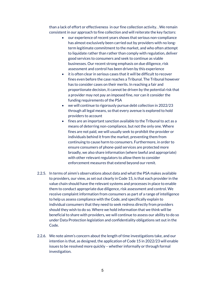than a lack of effort or effectiveness in our fine collection activity. . We remain consistent in our approach to fine collection and will reiterate the key factors:

- our experience of recent years shows that serious non-compliance has almost exclusively been carried out by providers with no longterm legitimate commitment to the market, and who often attempt to liquidate rather than rather than comply with regulation, deliver good services to consumers and seek to continue as viable businesses. Our recent strong emphasis on due diligence, risk assessment and control has been driven by this experience
- it is often clear in serious cases that it will be difficult to recover fines even before the case reaches a Tribunal. The Tribunal however has to consider cases on their merits. In reaching a fair and proportionate decision, it cannot be driven by the potential risk that a provider may not pay an imposed fine, nor can it consider the funding requirements of the PSA
- we will continue to rigorously pursue debt collection in 2022/23 through all legal means, so that every avenue is explored to hold providers to account
- fines are an important sanction available to the Tribunal to act as a means of deterring non-compliance, but not the only one. Where fines are not paid, we will usually seek to prohibit the provider or individuals behind it from the market, preventing them from continuing to cause harm to consumers. Furthermore, in order to ensure consumers of phone-paid services are protected more broadly, we also share information (where lawful and appropriate) with other relevant regulators to allow them to consider enforcement measures that extend beyond our remit.
- 2.2.5. In terms of aimm's observations about data and what the PSA makes available to providers, our view, as set out clearly in Code 15, is that each provider in the value chain should have the relevant systems and processes in place to enable them to conduct appropriate due diligence, risk assessment and control. We receive complaint information from consumers as part of a range of intelligence to help us assess compliance with the Code, and specifically explain to individual consumers that they need to seek redress directly from providers should they wish to do so. Where we hold information that we think will be beneficial to share with providers, we will continue to assess our ability to do so under Data Protection legislation and confidentiality obligations set out in the Code.
- 2.2.6. We note aimm's concern about the length of time investigations take, and our intention is that, as designed, the application of Code 15 in 2022/23 will enable issues to be resolved more quickly – whether informally or through formal investigation.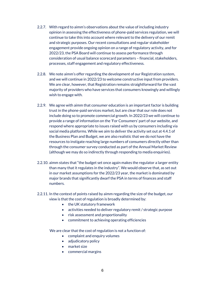- 2.2.7. With regard to aimm's observations about the value of including industry opinion in assessing the effectiveness of phone-paid services regulation, we will continue to take this into account where relevant to the delivery of our remit and strategic purposes. Our recent consultations and regular stakeholder engagement provide ongoing opinion on a range of regulatory activity, and for 2022/23, the PSA Board will continue to assess performance through consideration of usual balance scorecard parameters – financial, stakeholders, processes, staff engagement and regulatory effectiveness.
- 2.2.8. We note aimm's offer regarding the development of our Registration system, and we will continue in 2022/23 to welcome constructive input from providers. We are clear, however, that Registration remains straightforward for the vast majority of providers who have services that consumers knowingly and willingly wish to engage with.
- 2.2.9. We agree with aimm that consumer education is an important factor is building trust in the phone-paid services market, but are clear that our role does not include doing so to promote commercial growth. In 2022/23 we will continue to provide a range of information on the 'For Consumers' part of our website, and respond where appropriate to issues raised with us by consumers including via social media platforms. While we aim to deliver the activity set out at 4.4.1 of the Business Plan and Budget, we are also realistic that we do not have the resources to instigate reaching large numbers of consumers directly other than through the consumer survey conducted as part of the Annual Market Review (although we may do so indirectly through responding to media enquiries).
- 2.2.10. aimm states that "the budget set once again makes the regulator a larger entity than many that it regulates in the industry". We would observe that, as set out in our market assumptions for the 2022/23 year, the market is dominated by major brands that significantly dwarf the PSA in terms of finances and staff numbers.
- 2.2.11. In the context of points raised by aimm regarding the size of the budget, our view is that the cost of regulation is broadly determined by:
	- the UK statutory framework
	- activities needed to deliver regulatory remit / strategic purpose
	- risk assessment and proportionality
	- commitment to achieving operating efficiencies

- complaint and enquiry volumes
- adjudicatory policy
- market size
- commercial margins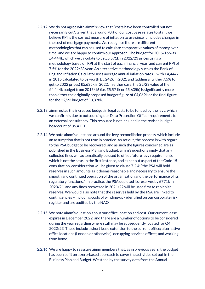- 2.2.12. We do not agree with aimm's view that "costs have been controlled but not necessarily cut". Given that around 70% of our cost base relates to staff, we believe RPI is the correct measure of inflation to use since it includes changes in the cost of mortgage payments. We recognise there are different methodologies that can be used to calculate comparative values of money over time, and we are happy to confirm our approach. The budget for 2015/16 was £4,444k, which we calculate to be £5,571k in 2022/23 prices using a methodology based on RPI at the start of each financial year, and current RPI of 7.5% for the 2022/23 year. An alternative methodology such as the Bank of England Inflation Calculator uses average annual inflation rates – with £4,444k in 2015 calculated to be worth £5,242k in 2021 and (adding a further 7.5% to get to 2022 prices) £5,635k in 2022. In either case, the 22/23 value of the £4,444k budget from 2015/16 (i.e. £5,571k or £5,635k) is significantly more than either the originally proposed budget figure of £4,069k or the final figure for the 22/23 budget of £3,878k.
- 2.2.13. aimm notes the increased budget in legal costs to be funded by the levy, which we confirm is due to outsourcing our Data Protection Officer requirements to an external consultancy. This resource is not included in the revised budget headcount of 36.4 FTE.
- 2.2.14. We note aimm's questions around the levy reconciliation process, which include an assumption that is not true in practice. As set out, the process is with regard to the PSA budget to be recovered, and as such the figures concerned are as published in the Business Plan and Budget. aimm's questions imply that any collected fines will automatically be used to offset future levy requirements, which is not the case. In the first instance, and as set out as part of the Code 15 consultation, consideration will be given to clause 7.2.4: "the PSA will hold reserves in such amounts as it deems reasonable and necessary to ensure the smooth and continued operation of the organisation and the performance of its regulatory functions." In practice, the PSA depleted its reserves by £771k in 2020/21, and any fines recovered in 2021/22 will be used first to replenish reserves. We would also note that the reserves held by the PSA are linked to contingencies – including costs of winding-up - identified on our corporate risk register and are audited by the NAO.
- 2.2.15. We note aimm's question about our office location and cost. Our current lease expires in December 2022, and there are a number of options to be considered during the year regarding where staff may be subsequently located for Q4 2022/23. These include a short lease extension to the current office; alternative office locations (London or otherwise); occupying serviced offices; and working from home.
- 2.2.16. We are happy to reassure aimm members that, as in previous years, the budget has been built on a zero-based approach to cover the activities set out in the Business Plan and Budget. We stand by the survey data from the Annual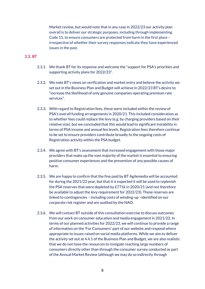Market review, but would note that in any case in 2022/23 our activity plan overall is to deliver our strategic purposes, including through implementing Code 15, to ensure consumers are protected from harm in the first place – irrespective of whether their survey responses indicate they have experienced issues in the past.

## **2.3. BT**

- 2.3.1. We thank BT for its response and welcome the "support for PSA's priorities and supporting activity plans for 2022/23".
- 2.3.2. We note BT's views on verification and market entry and believe the activity we set out in the Business Plan and Budget will achieve in 2022/23 BT's desire to "increase the likelihood of only genuine companies operating premium rate services".
- 2.3.3. With regard to Registration fees, these were included within the review of PSA's overall funding arrangements in 2020/21. This included consideration as to whether fees could replace the levy (e.g. by charging providers based on their relative size), but we concluded that this would lead to significant instability in terms of PSA income and annual fee levels. Registration fees therefore continue to be set to ensure providers contribute broadly to the ongoing costs of Registration activity within the PSA budget.
- 2.3.4. We agree with BT's assessment that increased engagement with those major providers that make up the vast majority of the market is essential to ensuring positive consumer experiences and the prevention of any possible causes of harm.
- 2.3.5. We are happy to confirm that the fine paid by BT Agilemedia will be accounted for during the 2021/22 year, but that it is expected it will be used to replenish the PSA reserves that were depleted by £771k in 2020/21 (and not therefore be available to adjust the levy requirement for 2022/23). These reserves are linked to contingencies – including costs of winding-up –identified on our corporate risk register and are audited by the NAO.
- 2.3.6. We will contact BT outside of this consultation exercise to discuss outcomes from our work on consumer education and media engagement in 2021/22. In terms of our planned activities for 2022/23, we will continue to provide a range of information on the 'For Consumers' part of our website and respond where appropriate to issues raised on social media platforms. While we aim to deliver the activity set out at 4.4.1 of the Business Plan and Budget, we are also realistic that we do not have the resources to instigate reaching large numbers of consumers directly other than through the consumer survey conducted as part of the Annual Market Review (although we may do so indirectly through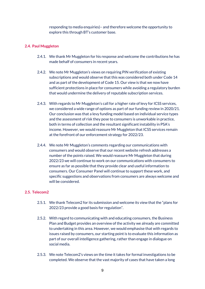responding to media enquiries)– and therefore welcome the opportunity to explore this through BT's customer base.

## **2.4. Paul Muggleton**

- 2.4.1. We thank Mr Muggleton for his response and welcome the contributions he has made behalf of consumers in recent years.
- 2.4.2. We note Mr Muggleton's views on requiring PIN verification of existing subscriptions and would observe that this was considered both under Code 14 and as part of the development of Code 15. Our view is that we now have sufficient protections in place for consumers while avoiding a regulatory burden that would undermine the delivery of reputable subscription services.
- 2.4.3. With regards to Mr Muggleton's call for a higher rate of levy for ICSS services, we considered a wide range of options as part of our funding review in 2020/21. Our conclusion was that a levy funding model based on individual service types and the assessment of risk they pose to consumers is unworkable in practice, both in terms of collection and the resultant significant instability in PSA's income. However, we would reassure Mr Muggleton that ICSS services remain at the forefront of our enforcement strategy for 2022/23.
- 2.4.4. We note Mr Muggleton's comments regarding our communications with consumers and would observe that our recent website refresh addresses a number of the points raised. We would reassure Mr Muggleton that during 2022/23 we will continue to work on our communications with consumers to ensure as far as possible that they provide clear and useful information to consumers. Our Consumer Panel will continue to support these work, and specific suggestions and observations from consumers are always welcome and will be considered.

### **2.5. Telecom2**

- 2.5.1. We thank Telecom2 for its submission and welcome its view that the "plans for 2022/23 provide a good basis for regulation".
- 2.5.2. With regard to communicating with and educating consumers, the Business Plan and Budget provides an overview of the activity we already are committed to undertaking in this area. However, we would emphasise that with regards to issues raised by consumers, our starting point is to evaluate this information as part of our overall intelligence gathering, rather than engage in dialogue on social media.
- 2.5.3. We note Telecom2's views on the time it takes for formal investigations to be completed. We observe that the vast majority of cases that have taken a long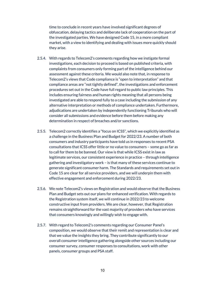time to conclude in recent years have involved significant degrees of obfuscation, delaying tactics and deliberate lack of cooperation on the part of the investigated parties. We have designed Code 15, in a more compliant market, with a view to identifying and dealing with issues more quickly should they arise.

- 2.5.4. With regards to Telecom2's comments regarding how we instigate formal investigations, each decision to proceed is based on published criteria, with complaints from consumers only forming part of the intelligence behind our assessment against these criteria. We would also note that, in response to Telecom2's views that Code compliance is "open to interpretation" and that compliance areas are "not tightly defined", the investigations and enforcement procedures set out in the Code have full regard to public law principles. This includes ensuring fairness and human rights meaning that all persons being investigated are able to respond fully to a case including the submission of any alternative interpretation or methods of compliance undertaken. Furthermore, adjudications are undertaken by independently functioning Tribunals who will consider all submissions and evidence before them before making any determination in respect of breaches and/or sanctions.
- 2.5.5. Telecom2 correctly identifies a "focus on ICSS", which we explicitly identified as a challenge in the Business Plan and Budget for 2022/23. A number of both consumers and industry participants have told us in responses to recent PSA consultations that ICSS offer little or no value to consumers – some go as far as to call for them to be banned. Our view is that while ICSS exist in law as legitimate services, our consistent experience in practice – through intelligence gathering and investigatory work – is that many of these services continue to generate significant consumer harm. The Standards and requirements set out in Code 15 are clear for all service providers, and we will underpin them with effective engagement and enforcement during 2022/23.
- 2.5.6. We note Telecom2's views on Registration and would observe that the Business Plan and Budget sets out our plans for enhanced verification. With regards to the Registration system itself, we will continue in 2022/23 to welcome constructive input from providers. We are clear, however, that Registration remains straightforward for the vast majority of providers who have services that consumers knowingly and willingly wish to engage with.
- 2.5.7. With regard to Telecom2's comments regarding our Consumer Panel's composition, we would observe that their remit and representation is clear and that we value the insights they bring. They contribute significantly to our overall consumer intelligence gathering alongside other sources including our consumer survey, consumer responses to consultations, work with other panels, consumer groups and PSA staff.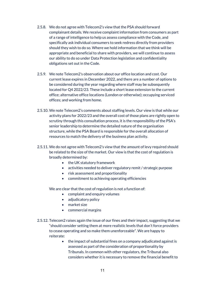- 2.5.8. We do not agree with Telecom2's view that the PSA should forward complainant details. We receive complaint information from consumers as part of a range of intelligence to help us assess compliance with the Code, and specifically ask individual consumers to seek redress directly from providers should they wish to do so. Where we hold information that we think will be appropriate and beneficial to share with providers, we will continue to assess our ability to do so under Data Protection legislation and confidentiality obligations set out in the Code.
- 2.5.9. We note Telecom2's observation about our office location and cost. Our current lease expires in December 2022, and there are a number of options to be considered during the year regarding where staff may be subsequently located for Q4 2022/23. These include a short lease extension to the current office; alternative office locations (London or otherwise); occupying serviced offices; and working from home.
- 2.5.10. We note Telecom2's comments about staffing levels. Our view is that while our activity plans for 2022/23 and the overall cost of those plans are rightly open to scrutiny through this consultation process, it is the responsibility of the PSA's senior leadership to determine the detailed nature of the organisation structure, while the PSA Board is responsible for the overall allocation of resources to match the delivery of the business plan activity.
- 2.5.11. We do not agree with Telecom2's view that the amount of levy required should be related to the size of the market. Our view is that the cost of regulation is broadly determined by:
	- the UK statutory framework
	- activities needed to deliver regulatory remit / strategic purpose
	- risk assessment and proportionality
	- commitment to achieving operating efficiencies

- complaint and enquiry volumes
- adjudicatory policy
- market size
- commercial margins
- 2.5.12. Telecom2 raises again the issue of our fines and their impact, suggesting that we "should consider setting them at more realistic levels that don't force providers to cease operating and so make them unenforceable". We are happy to reiterate:
	- the impact of substantial fines on a company adjudicated against is assessed as part of the consideration of proportionality by Tribunals. In common with other regulators, the Tribunal also considers whether it is necessary to remove the financial benefit to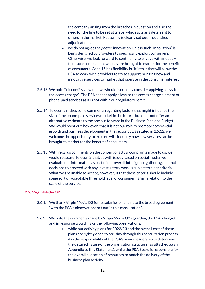the company arising from the breaches in question and also the need for the fine to be set at a level which acts as a deterrent to others in the market. Reasoning is clearly set out in published adjudications.

- we do not agree they deter innovation, unless such "innovation" is being designed by providers to specifically exploit consumers. Otherwise, we look forward to continuing to engage with industry to ensure compliant new ideas are brought to market for the benefit of consumers. Code 15 has flexibility built into it that will allow the PSA to work with providers to try to support bringing new and innovative services to market that operate in the consumer interest.
- 2.5.13. We note Telecom2's view that we should "seriously consider applying a levy to the access charge". The PSA cannot apply a levy to the access charge element of phone-paid services as it is not within our regulatory remit.
- 2.5.14. Telecom2 makes some comments regarding factors that might influence the size of the phone-paid services market in the future, but does not offer an alternative estimate to the one put forward in the Business Plan and Budget. We would point out, however, that it is not our role to promote commercial growth and business development in the sector but, as stated in 2.5.12, we welcome the opportunity to explore with industry how new services can be brought to market for the benefit of consumers.
- 2.5.15. With regards comments on the content of actual complaints made to us, we would reassure Telecom2 that, as with issues raised on social media, we evaluate this information as part of our overall intelligence gathering and that decisions to proceed with any investigatory work is subject to clear criteria. What we are unable to accept, however, is that these criteria should include some sort of acceptable threshold level of consumer harm in relation to the scale of the service.

### **2.6. Virgin Media O2**

- 2.6.1. We thank Virgin Media O2 for its submission and note the broad agreement "with the PSA's observations set out in this consultation".
- 2.6.2. We note the comments made by Virgin Media O2 regarding the PSA's budget, and in response would make the following observations:
	- while our activity plans for 2022/23 and the overall cost of those plans are rightly open to scrutiny through this consultation process, it is the responsibility of the PSA's senior leadership to determine the detailed nature of the organisation structure (as attached aa an Appendix to this Statement), while the PSA Board is responsible for the overall allocation of resources to match the delivery of the business plan activity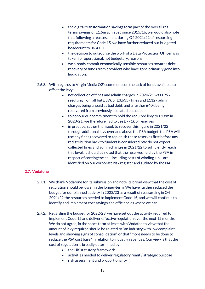- the digital transformation savings form part of the overall realterms savings of £1.6m achieved since 2015/16; we would also note that following a reassessment during Q4 2021/22 of resourcing requirements for Code 15, we have further reduced our budgeted headcount to 36.4 FTE
- the decision to outsource the work of a Data Protection Officer was taken for operational, not budgetary, reasons
- we already commit economically sensible resources towards debt recovery of funds from providers who have gone primarily gone into liquidation.
- 2.6.3. With regards to Virgin Media O2's comments on the lack of funds available to offset the levy:
	- net collection of fines and admin charges in 2020/21 was £79k, resulting from all but £39k of £3,635k fines and £112k admin charges being unpaid as bad debt, and a further £40k being recovered from previously allocated bad debt
	- to honour our commitment to hold the required levy to £1.8m in 2020/21, we therefore had to use £771k of reserves
	- in practice, rather than seek to recover this figure in 2021/22 through additional levy over and above the PSA budget, the PSA will use any fines recovered to replenish these reserves first before any redistribution back to funders is considered. We do not expect collected fines and admin charges in 2021/22 to sufficiently reach this level. It should be noted that the reserves held by the PSA in respect of contingencies – including costs of winding-up – are identified on our corporate risk register and audited by the NAO.

## **2.7. Vodafone**

- 2.7.1. We thank Vodafone for its submission and note its broad view that the cost of regulation should be lower in the longer-term. We have further reduced the budget for our planned activity in 2022/23 as a result of reassessing in Q4 2021/22 the resources needed to implement Code 15, and we will continue to identify and implement cost savings and efficiencies where we can.
- 2.7.2. Regarding the budget for 2022/23, we have set out the activity required to implement Code 15 and deliver effective regulation over the next 12 months. We do not agree, in the short-term at least, with Vodafone's view that the amount of levy required should be related to "an industry with low complaint levels and showing signs of consolidation" or that "more needs to be done to reduce the PSA cost base" in relation to industry revenues. Our view is that the cost of regulation is broadly determined by:
	- the UK statutory framework
	- activities needed to deliver regulatory remit / strategic purpose
	- risk assessment and proportionality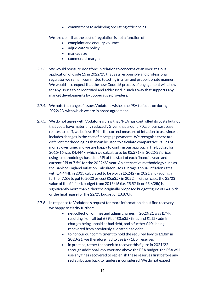• commitment to achieving operating efficiencies

- complaint and enquiry volumes
- adjudicatory policy
- market size
- commercial margins
- 2.7.3. We would reassure Vodafone in relation to concerns of an over-zealous application of Code 15 in 2022/23 that as a responsible and professional regulator we remain committed to acting in a fair and proportionate manner. We would also expect that the new Code 15 process of engagement will allow for any issues to be identified and addressed in such a way that supports any market developments by cooperative providers.
- 2.7.4. We note the range of issues Vodafone wishes the PSA to focus on during 2022/23, with which we are in broad agreement.
- 2.7.5. We do not agree with Vodafone's view that "PSA has controlled its costs but not that costs have materially reduced". Given that around 70% of our cost base relates to staff, we believe RPI is the correct measure of inflation to use since it includes changes in the cost of mortgage payments. We recognise there are different methodologies that can be used to calculate comparative values of money over time, and we are happy to confirm our approach. The budget for 2015/16 was £4,444k, which we calculate to be £5,571k in 2022/23 prices using a methodology based on RPI at the start of each financial year, and current RPI of 7.5% for the 2022/23 year. An alternative methodology such as the Bank of England Inflation Calculator uses average annual inflation rates – with £4,444k in 2015 calculated to be worth £5,242k in 2021 and (adding a further 7.5% to get to 2022 prices) £5,635k in 2022. In either case, the 22/23 value of the £4,444k budget from 2015/16 (i.e. £5,571k or £5,635k) is significantly more than either the originally proposed budget figure of £4,069k or the final figure for the 22/23 budget of £3,878k.
- 2.7.6. In response to Vodafone's request for more information about fine recovery, we happy to clarify further:
	- net collection of fines and admin charges in 2020/21 was £79k, resulting from all but £39k of £3,635k fines and £112k admin charges being unpaid as bad debt, and a further £40k being recovered from previously allocated bad debt
	- to honour our commitment to hold the required levy to £1.8m in 2020/21, we therefore had to use £771k of reserves
	- in practice, rather than seek to recover this figure in 2021/22 through additional levy over and above the PSA budget, the PSA will use any fines recovered to replenish these reserves first before any redistribution back to funders is considered. We do not expect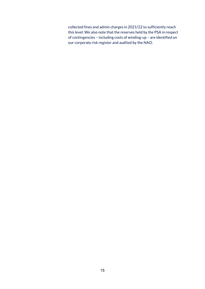collected fines and admin charges in 2021/22 to sufficiently reach this level. We also note that the reserves held by the PSA in respect of contingencies – including costs of winding-up – are identified on our corporate risk register and audited by the NAO.